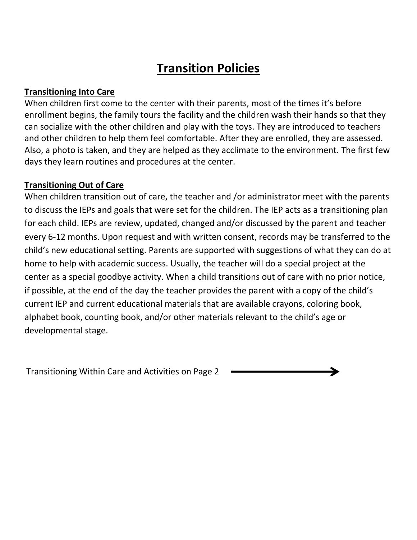# **Transition Policies**

# **Transitioning Into Care**

When children first come to the center with their parents, most of the times it's before enrollment begins, the family tours the facility and the children wash their hands so that they can socialize with the other children and play with the toys. They are introduced to teachers and other children to help them feel comfortable. After they are enrolled, they are assessed. Also, a photo is taken, and they are helped as they acclimate to the environment. The first few days they learn routines and procedures at the center.

# **Transitioning Out of Care**

When children transition out of care, the teacher and /or administrator meet with the parents to discuss the IEPs and goals that were set for the children. The IEP acts as a transitioning plan for each child. IEPs are review, updated, changed and/or discussed by the parent and teacher every 6-12 months. Upon request and with written consent, records may be transferred to the child's new educational setting. Parents are supported with suggestions of what they can do at home to help with academic success. Usually, the teacher will do a special project at the center as a special goodbye activity. When a child transitions out of care with no prior notice, if possible, at the end of the day the teacher provides the parent with a copy of the child's current IEP and current educational materials that are available crayons, coloring book, alphabet book, counting book, and/or other materials relevant to the child's age or developmental stage.

Transitioning Within Care and Activities on Page 2